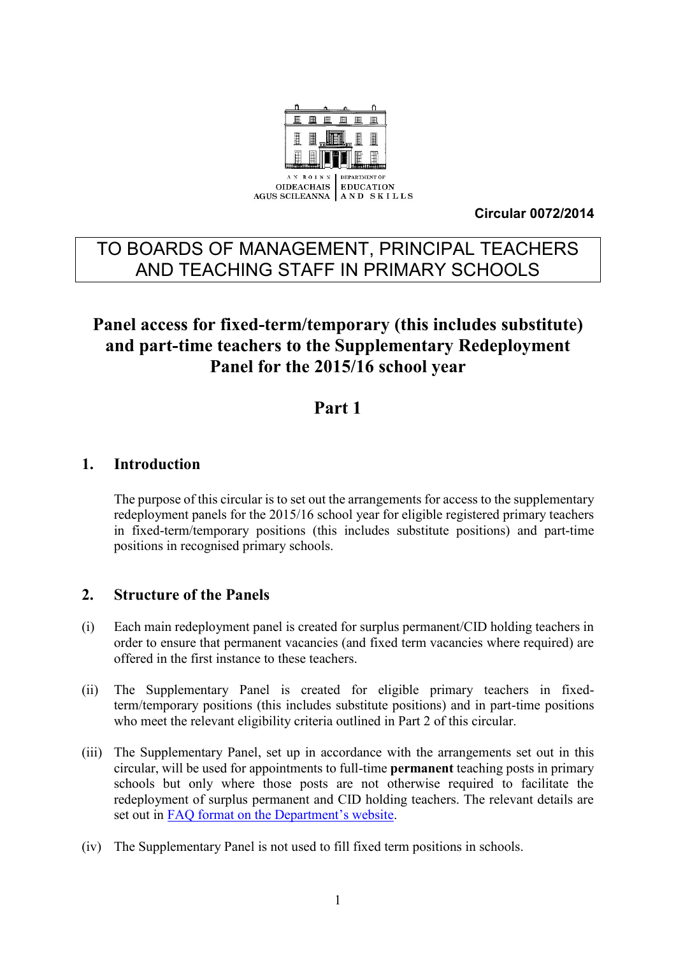

**Circular 0072/2014**

# TO BOARDS OF MANAGEMENT, PRINCIPAL TEACHERS AND TEACHING STAFF IN PRIMARY SCHOOLS

# **Panel access for fixed-term/temporary (this includes substitute) and part-time teachers to the Supplementary Redeployment Panel for the 2015/16 school year**

# **Part 1**

#### **1. Introduction**

The purpose of this circular is to set out the arrangements for access to the supplementary redeployment panels for the 2015/16 school year for eligible registered primary teachers in fixed-term/temporary positions (this includes substitute positions) and part-time positions in recognised primary schools.

#### **2. Structure of the Panels**

- (i) Each main redeployment panel is created for surplus permanent/CID holding teachers in order to ensure that permanent vacancies (and fixed term vacancies where required) are offered in the first instance to these teachers.
- (ii) The Supplementary Panel is created for eligible primary teachers in fixedterm/temporary positions (this includes substitute positions) and in part-time positions who meet the relevant eligibility criteria outlined in Part 2 of this circular.
- (iii) The Supplementary Panel, set up in accordance with the arrangements set out in this circular, will be used for appointments to full-time **permanent** teaching posts in primary schools but only where those posts are not otherwise required to facilitate the redeployment of surplus permanent and CID holding teachers. The relevant details are set out in FAQ for[mat on the Department's website](http://www.education.ie/en/Circulars-and-Forms/Active-Circulars/cl0072_2014_faq.pdf).
- (iv) The Supplementary Panel is not used to fill fixed term positions in schools.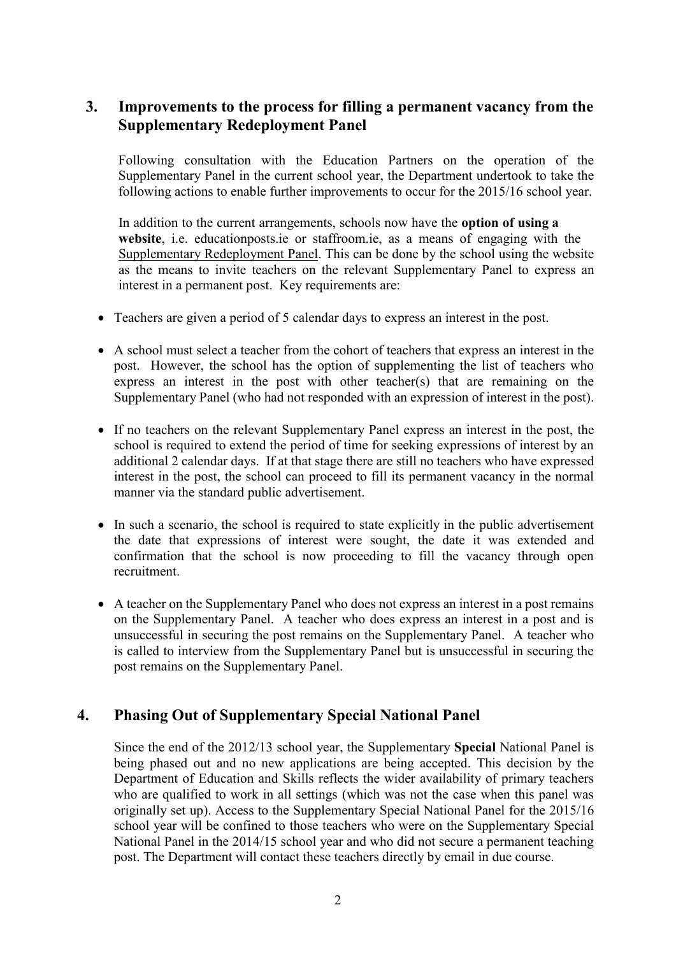### **3. Improvements to the process for filling a permanent vacancy from the Supplementary Redeployment Panel**

Following consultation with the Education Partners on the operation of the Supplementary Panel in the current school year, the Department undertook to take the following actions to enable further improvements to occur for the 2015/16 school year.

In addition to the current arrangements, schools now have the **option of using a website**, i.e. educationposts.ie or staffroom.ie, as a means of engaging with the Supplementary Redeployment Panel. This can be done by the school using the website as the means to invite teachers on the relevant Supplementary Panel to express an interest in a permanent post. Key requirements are:

- Teachers are given a period of 5 calendar days to express an interest in the post.
- A school must select a teacher from the cohort of teachers that express an interest in the post. However, the school has the option of supplementing the list of teachers who express an interest in the post with other teacher(s) that are remaining on the Supplementary Panel (who had not responded with an expression of interest in the post).
- If no teachers on the relevant Supplementary Panel express an interest in the post, the school is required to extend the period of time for seeking expressions of interest by an additional 2 calendar days. If at that stage there are still no teachers who have expressed interest in the post, the school can proceed to fill its permanent vacancy in the normal manner via the standard public advertisement.
- In such a scenario, the school is required to state explicitly in the public advertisement the date that expressions of interest were sought, the date it was extended and confirmation that the school is now proceeding to fill the vacancy through open recruitment.
- A teacher on the Supplementary Panel who does not express an interest in a post remains on the Supplementary Panel. A teacher who does express an interest in a post and is unsuccessful in securing the post remains on the Supplementary Panel. A teacher who is called to interview from the Supplementary Panel but is unsuccessful in securing the post remains on the Supplementary Panel.

## **4. Phasing Out of Supplementary Special National Panel**

Since the end of the 2012/13 school year, the Supplementary **Special** National Panel is being phased out and no new applications are being accepted. This decision by the Department of Education and Skills reflects the wider availability of primary teachers who are qualified to work in all settings (which was not the case when this panel was originally set up). Access to the Supplementary Special National Panel for the 2015/16 school year will be confined to those teachers who were on the Supplementary Special National Panel in the 2014/15 school year and who did not secure a permanent teaching post. The Department will contact these teachers directly by email in due course.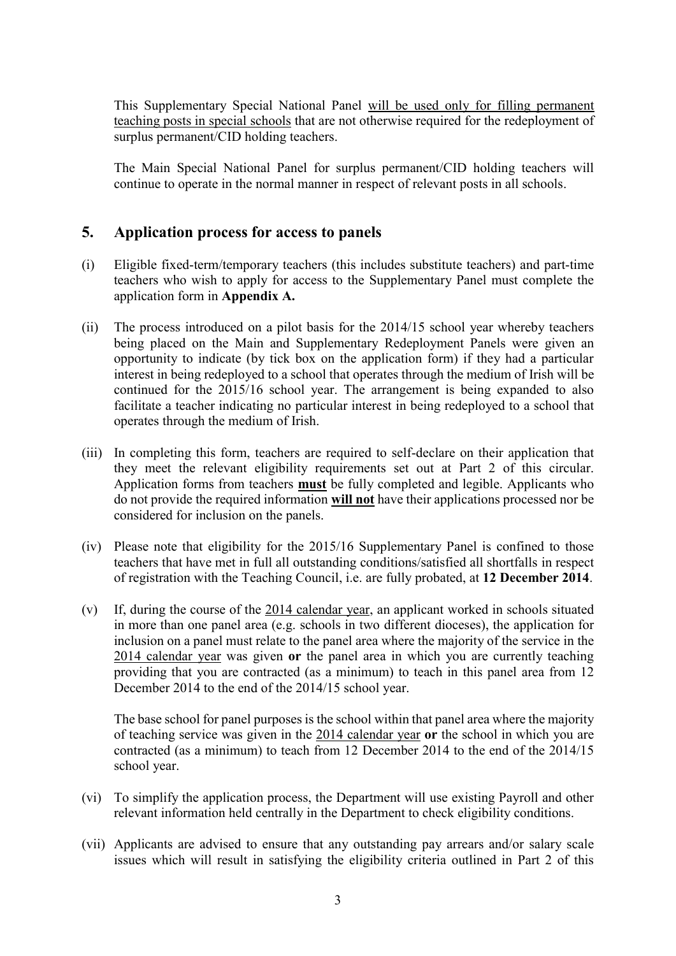This Supplementary Special National Panel will be used only for filling permanent teaching posts in special schools that are not otherwise required for the redeployment of surplus permanent/CID holding teachers.

The Main Special National Panel for surplus permanent/CID holding teachers will continue to operate in the normal manner in respect of relevant posts in all schools.

#### **5. Application process for access to panels**

- (i) Eligible fixed-term/temporary teachers (this includes substitute teachers) and part-time teachers who wish to apply for access to the Supplementary Panel must complete the application form in **Appendix A.**
- (ii) The process introduced on a pilot basis for the 2014/15 school year whereby teachers being placed on the Main and Supplementary Redeployment Panels were given an opportunity to indicate (by tick box on the application form) if they had a particular interest in being redeployed to a school that operates through the medium of Irish will be continued for the 2015/16 school year. The arrangement is being expanded to also facilitate a teacher indicating no particular interest in being redeployed to a school that operates through the medium of Irish.
- (iii) In completing this form, teachers are required to self-declare on their application that they meet the relevant eligibility requirements set out at Part 2 of this circular. Application forms from teachers **must** be fully completed and legible. Applicants who do not provide the required information **will not** have their applications processed nor be considered for inclusion on the panels.
- (iv) Please note that eligibility for the 2015/16 Supplementary Panel is confined to those teachers that have met in full all outstanding conditions/satisfied all shortfalls in respect of registration with the Teaching Council, i.e. are fully probated, at **12 December 2014**.
- (v) If, during the course of the 2014 calendar year, an applicant worked in schools situated in more than one panel area (e.g. schools in two different dioceses), the application for inclusion on a panel must relate to the panel area where the majority of the service in the 2014 calendar year was given **or** the panel area in which you are currently teaching providing that you are contracted (as a minimum) to teach in this panel area from 12 December 2014 to the end of the 2014/15 school year.

The base school for panel purposes is the school within that panel area where the majority of teaching service was given in the 2014 calendar year **or** the school in which you are contracted (as a minimum) to teach from 12 December 2014 to the end of the 2014/15 school year.

- (vi) To simplify the application process, the Department will use existing Payroll and other relevant information held centrally in the Department to check eligibility conditions.
- (vii) Applicants are advised to ensure that any outstanding pay arrears and/or salary scale issues which will result in satisfying the eligibility criteria outlined in Part 2 of this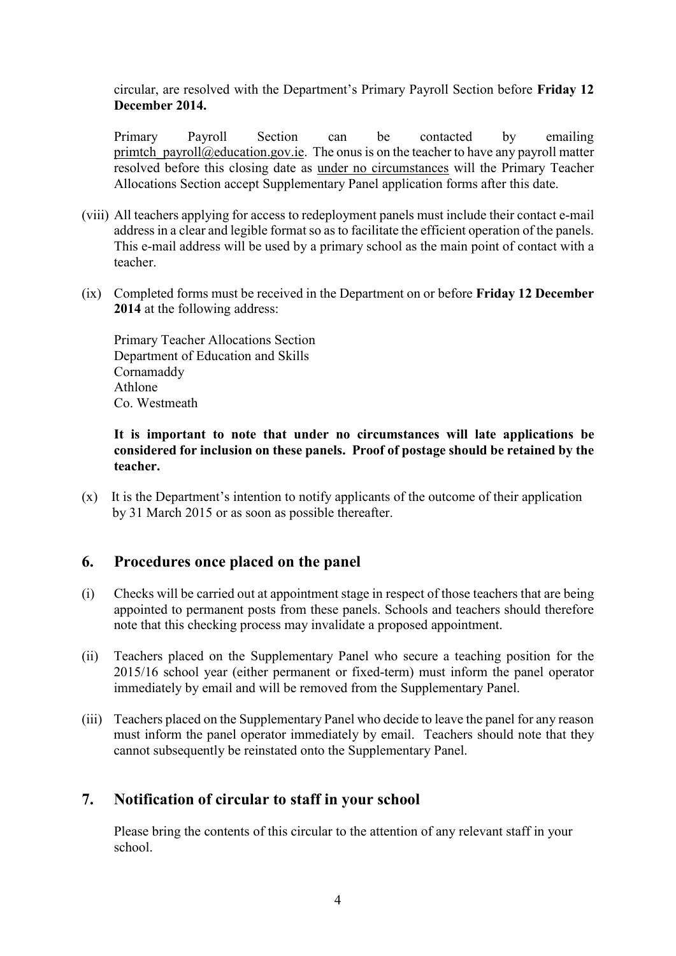circular, are resolved with the Department's Primary Payroll Section before **Friday 12 December 2014.**

Primary Payroll Section can be contacted by emailing primtch  $payroll@education.gov.ie.$  The onus is on the teacher to have any payroll matter resolved before this closing date as under no circumstances will the Primary Teacher Allocations Section accept Supplementary Panel application forms after this date.

- (viii) All teachers applying for access to redeployment panels must include their contact e-mail address in a clear and legible format so as to facilitate the efficient operation of the panels. This e-mail address will be used by a primary school as the main point of contact with a teacher.
- (ix) Completed forms must be received in the Department on or before **Friday 12 December 2014** at the following address:

Primary Teacher Allocations Section Department of Education and Skills Cornamaddy Athlone Co. Westmeath

#### **It is important to note that under no circumstances will late applications be considered for inclusion on these panels. Proof of postage should be retained by the teacher.**

(x) It is the Department's intention to notify applicants of the outcome of their application by 31 March 2015 or as soon as possible thereafter.

## **6. Procedures once placed on the panel**

- (i) Checks will be carried out at appointment stage in respect of those teachers that are being appointed to permanent posts from these panels. Schools and teachers should therefore note that this checking process may invalidate a proposed appointment.
- (ii) Teachers placed on the Supplementary Panel who secure a teaching position for the 2015/16 school year (either permanent or fixed-term) must inform the panel operator immediately by email and will be removed from the Supplementary Panel.
- (iii) Teachers placed on the Supplementary Panel who decide to leave the panel for any reason must inform the panel operator immediately by email. Teachers should note that they cannot subsequently be reinstated onto the Supplementary Panel.

#### **7. Notification of circular to staff in your school**

Please bring the contents of this circular to the attention of any relevant staff in your school.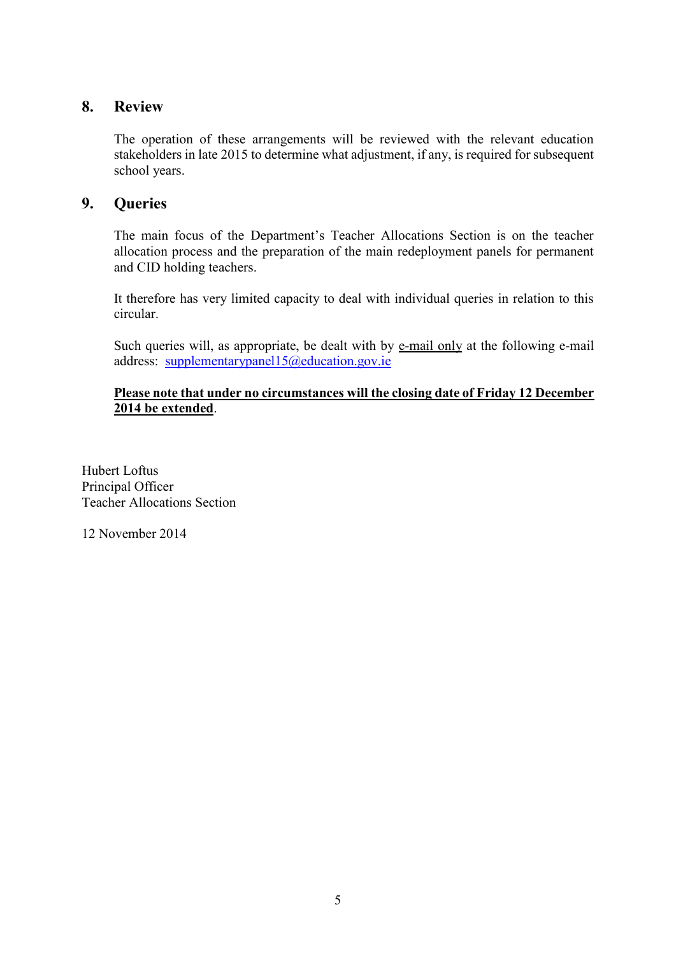#### **8. Review**

The operation of these arrangements will be reviewed with the relevant education stakeholders in late 2015 to determine what adjustment, if any, is required for subsequent school years.

#### **9. Queries**

The main focus of the Department's Teacher Allocations Section is on the teacher allocation process and the preparation of the main redeployment panels for permanent and CID holding teachers.

It therefore has very limited capacity to deal with individual queries in relation to this circular.

Such queries will, as appropriate, be dealt with by e-mail only at the following e-mail address: [supplementarypanel15@education.gov.ie](mailto:supplementarypanel15@education.gov.ie)

#### **Please note that under no circumstances will the closing date of Friday 12 December 2014 be extended**.

Hubert Loftus Principal Officer Teacher Allocations Section

12 November 2014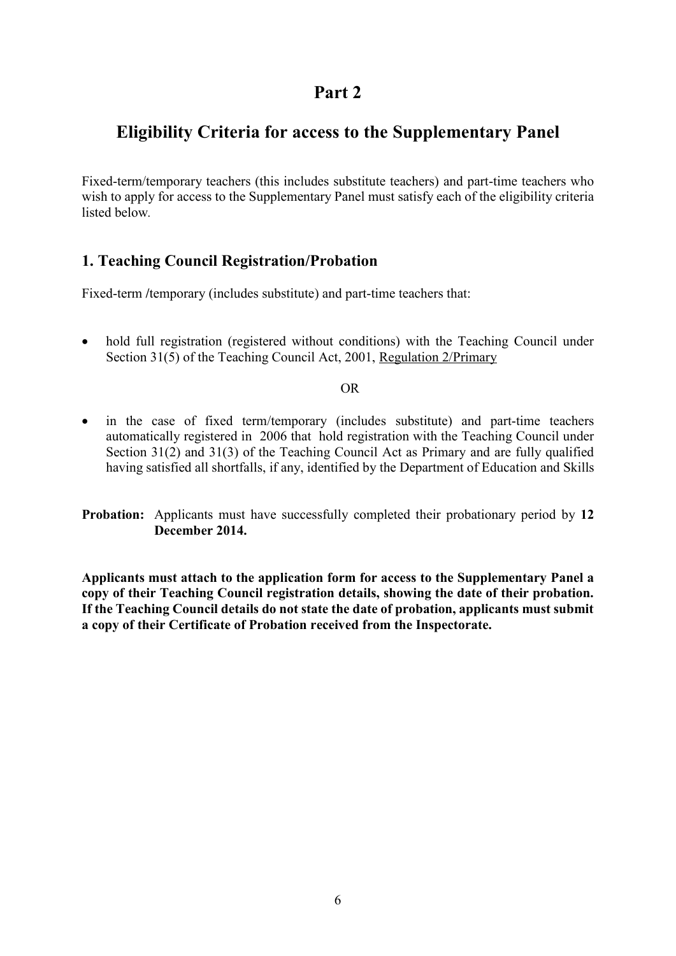## **Part 2**

# **Eligibility Criteria for access to the Supplementary Panel**

Fixed-term/temporary teachers (this includes substitute teachers) and part-time teachers who wish to apply for access to the Supplementary Panel must satisfy each of the eligibility criteria listed below*.*

## **1. Teaching Council Registration/Probation**

Fixed-term /*temporary* (includes substitute) and part-time teachers that:

• hold full registration (registered without conditions) with the Teaching Council under Section 31(5) of the Teaching Council Act, 2001, Regulation 2/Primary

#### OR

• in the case of fixed term/temporary (includes substitute) and part-time teachers automatically registered in 2006 that hold registration with the Teaching Council under Section 31(2) and 31(3) of the Teaching Council Act as Primary and are fully qualified having satisfied all shortfalls, if any, identified by the Department of Education and Skills

**Probation:** Applicants must have successfully completed their probationary period by **12 December 2014.**

**Applicants must attach to the application form for access to the Supplementary Panel a copy of their Teaching Council registration details, showing the date of their probation. If the Teaching Council details do not state the date of probation, applicants must submit a copy of their Certificate of Probation received from the Inspectorate.**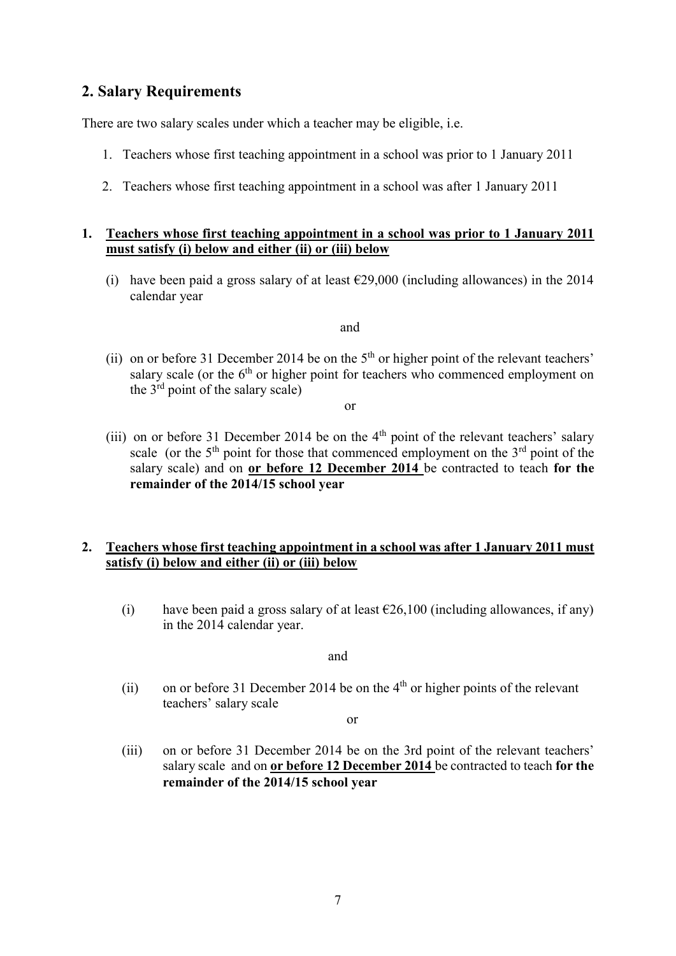#### **2. Salary Requirements**

There are two salary scales under which a teacher may be eligible, i.e.

- 1. Teachers whose first teaching appointment in a school was prior to 1 January 2011
- 2. Teachers whose first teaching appointment in a school was after 1 January 2011

#### **1. Teachers whose first teaching appointment in a school was prior to 1 January 2011 must satisfy (i) below and either (ii) or (iii) below**

(i) have been paid a gross salary of at least  $\epsilon$ 29,000 (including allowances) in the 2014 calendar year

and

(ii) on or before 31 December 2014 be on the  $5<sup>th</sup>$  or higher point of the relevant teachers' salary scale (or the  $6<sup>th</sup>$  or higher point for teachers who commenced employment on the  $3<sup>rd</sup>$  point of the salary scale)

or

(iii) on or before 31 December 2014 be on the  $4<sup>th</sup>$  point of the relevant teachers' salary scale (or the  $5<sup>th</sup>$  point for those that commenced employment on the  $3<sup>rd</sup>$  point of the salary scale) and on **or before 12 December 2014** be contracted to teach **for the remainder of the 2014/15 school year**

#### **2. Teachers whose first teaching appointment in a school was after 1 January 2011 must satisfy (i) below and either (ii) or (iii) below**

(i) have been paid a gross salary of at least  $\epsilon$ 26,100 (including allowances, if any) in the 2014 calendar year.

and

(ii) on or before 31 December 2014 be on the  $4<sup>th</sup>$  or higher points of the relevant teachers' salary scale

or

(iii) on or before 31 December 2014 be on the 3rd point of the relevant teachers' salary scale and on **or before 12 December 2014** be contracted to teach **for the remainder of the 2014/15 school year**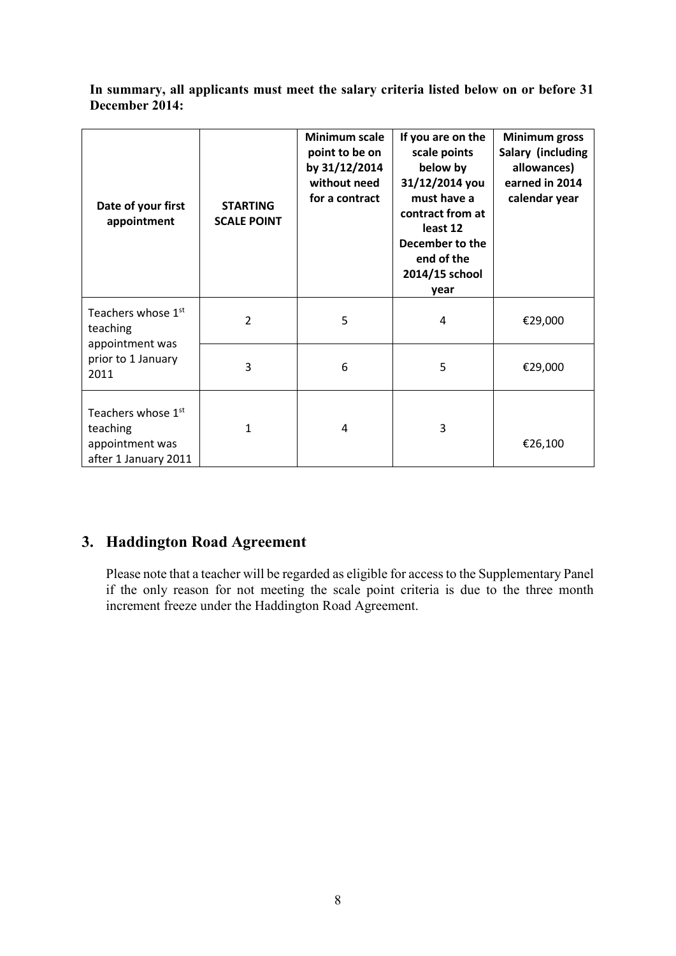**In summary, all applicants must meet the salary criteria listed below on or before 31 December 2014:**

| Date of your first<br>appointment                                                     | <b>STARTING</b><br><b>SCALE POINT</b> | Minimum scale<br>point to be on<br>by 31/12/2014<br>without need<br>for a contract | If you are on the<br>scale points<br>below by<br>31/12/2014 you<br>must have a<br>contract from at<br>least 12<br>December to the<br>end of the<br>2014/15 school<br>year | <b>Minimum gross</b><br>Salary (including<br>allowances)<br>earned in 2014<br>calendar year |
|---------------------------------------------------------------------------------------|---------------------------------------|------------------------------------------------------------------------------------|---------------------------------------------------------------------------------------------------------------------------------------------------------------------------|---------------------------------------------------------------------------------------------|
| Teachers whose 1 <sup>st</sup><br>teaching                                            | $\overline{2}$                        | 5                                                                                  | 4                                                                                                                                                                         | €29,000                                                                                     |
| appointment was<br>prior to 1 January<br>2011                                         | 3                                     | 6                                                                                  | 5                                                                                                                                                                         | €29,000                                                                                     |
| Teachers whose 1 <sup>st</sup><br>teaching<br>appointment was<br>after 1 January 2011 | 1                                     | 4                                                                                  | 3                                                                                                                                                                         | €26,100                                                                                     |

## **3. Haddington Road Agreement**

Please note that a teacher will be regarded as eligible for access to the Supplementary Panel if the only reason for not meeting the scale point criteria is due to the three month increment freeze under the Haddington Road Agreement.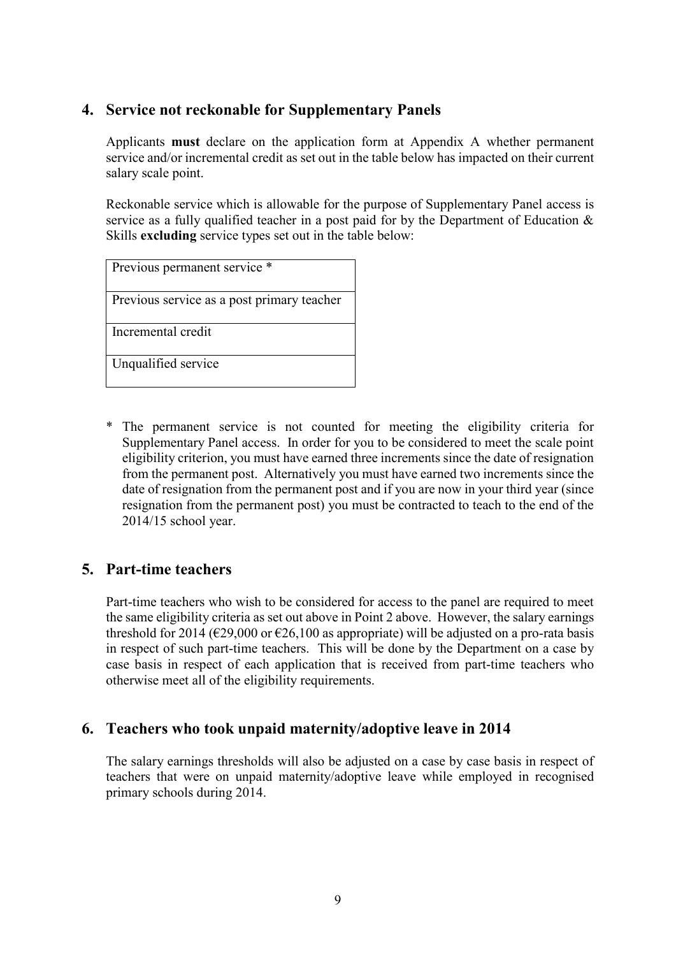## **4. Service not reckonable for Supplementary Panels**

Applicants **must** declare on the application form at Appendix A whether permanent service and/or incremental credit as set out in the table below has impacted on their current salary scale point.

Reckonable service which is allowable for the purpose of Supplementary Panel access is service as a fully qualified teacher in a post paid for by the Department of Education & Skills **excluding** service types set out in the table below:

Previous permanent service \*

Previous service as a post primary teacher

Incremental credit

Unqualified service

\* The permanent service is not counted for meeting the eligibility criteria for Supplementary Panel access. In order for you to be considered to meet the scale point eligibility criterion, you must have earned three increments since the date of resignation from the permanent post. Alternatively you must have earned two increments since the date of resignation from the permanent post and if you are now in your third year (since resignation from the permanent post) you must be contracted to teach to the end of the 2014/15 school year.

## **5. Part-time teachers**

Part-time teachers who wish to be considered for access to the panel are required to meet the same eligibility criteria as set out above in Point 2 above. However, the salary earnings threshold for 2014 ( $\epsilon$ 29,000 or  $\epsilon$ 26,100 as appropriate) will be adjusted on a pro-rata basis in respect of such part-time teachers. This will be done by the Department on a case by case basis in respect of each application that is received from part-time teachers who otherwise meet all of the eligibility requirements.

#### **6. Teachers who took unpaid maternity/adoptive leave in 2014**

The salary earnings thresholds will also be adjusted on a case by case basis in respect of teachers that were on unpaid maternity/adoptive leave while employed in recognised primary schools during 2014.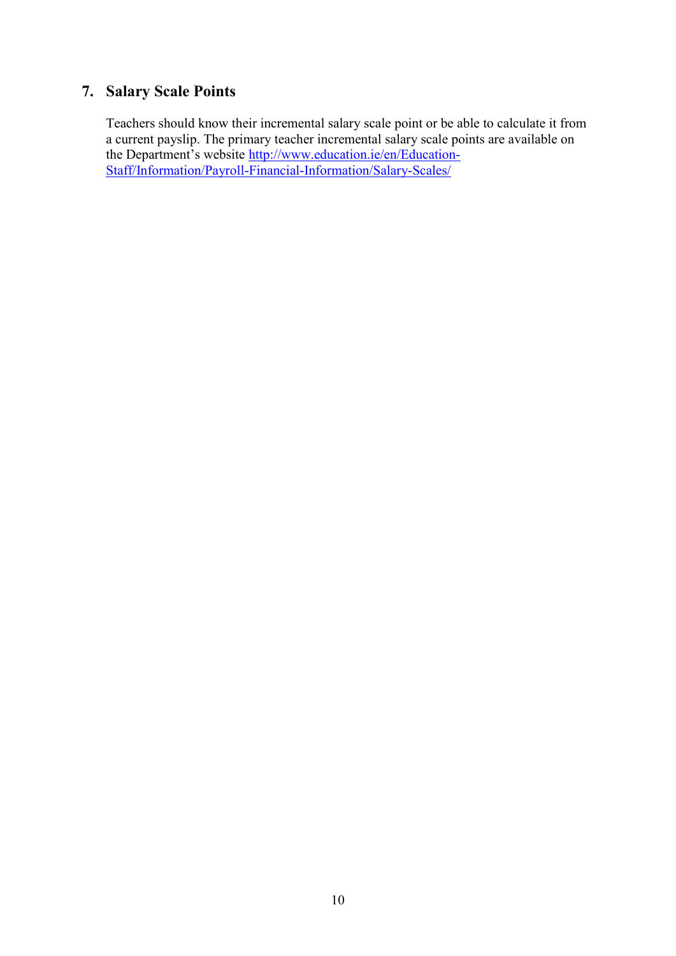## **7. Salary Scale Points**

Teachers should know their incremental salary scale point or be able to calculate it from a current payslip. The primary teacher incremental salary scale points are available on the Department's website [http://www.education.ie/en/Education-](http://www.education.ie/en/Education-Staff/Information/Payroll-Financial-Information/Salary-Scales/)[Staff/Information/Payroll-Financial-Information/Salary-Scales/](http://www.education.ie/en/Education-Staff/Information/Payroll-Financial-Information/Salary-Scales/)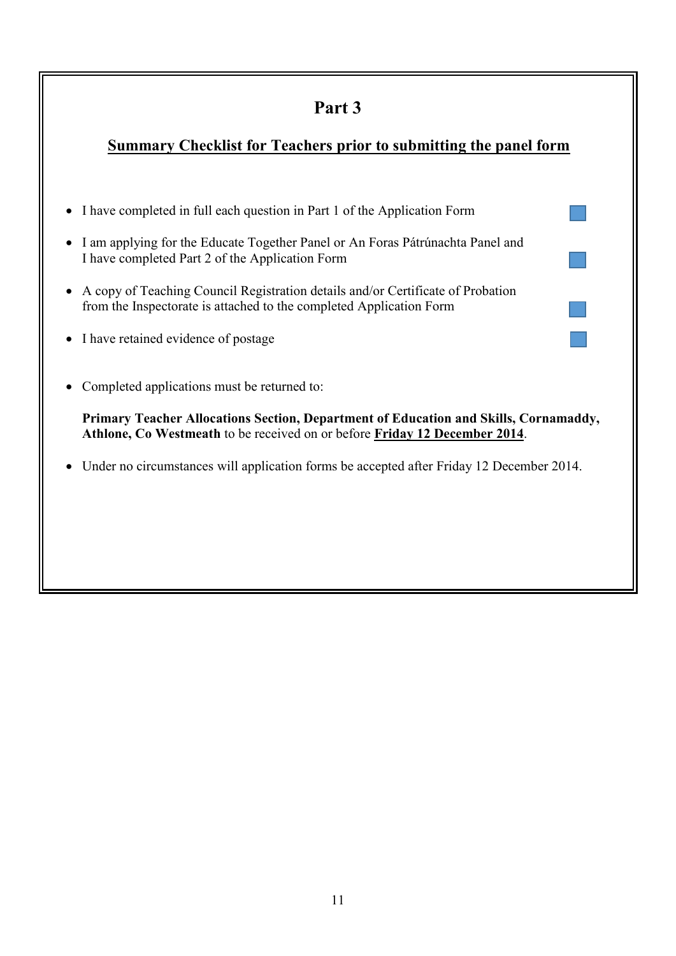# **Part 3**

# **Summary Checklist for Teachers prior to submitting the panel form**

- I have completed in full each question in Part 1 of the Application Form
- I am applying for the Educate Together Panel or An Foras Pátrúnachta Panel and I have completed Part 2 of the Application Form
- A copy of Teaching Council Registration details and/or Certificate of Probation from the Inspectorate is attached to the completed Application Form
- I have retained evidence of postage
- Completed applications must be returned to:

**Primary Teacher Allocations Section, Department of Education and Skills, Cornamaddy, Athlone, Co Westmeath** to be received on or before **Friday 12 December 2014**.

Under no circumstances will application forms be accepted after Friday 12 December 2014.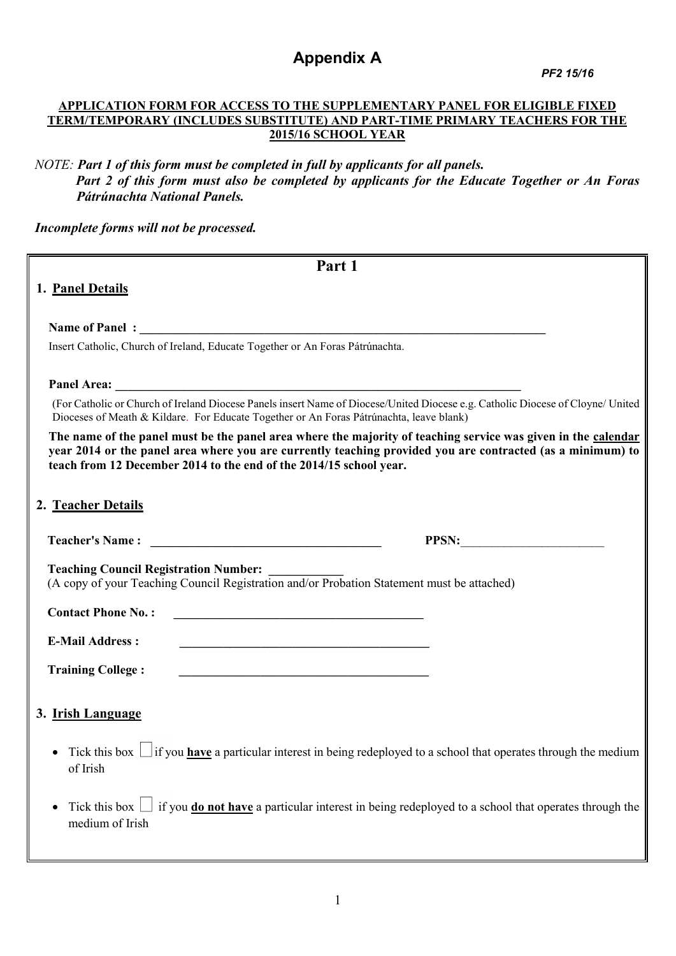# **Appendix A**

 *PF2 15/16*

#### **APPLICATION FORM FOR ACCESS TO THE SUPPLEMENTARY PANEL FOR ELIGIBLE FIXED TERM/TEMPORARY (INCLUDES SUBSTITUTE) AND PART-TIME PRIMARY TEACHERS FOR THE 2015/16 SCHOOL YEAR**

*NOTE: Part 1 of this form must be completed in full by applicants for all panels. Part 2 of this form must also be completed by applicants for the Educate Together or An Foras Pátrúnachta National Panels.* 

*Incomplete forms will not be processed.* 

| Part 1                                                                                                                                                                                                                                                                                            |
|---------------------------------------------------------------------------------------------------------------------------------------------------------------------------------------------------------------------------------------------------------------------------------------------------|
| 1. Panel Details                                                                                                                                                                                                                                                                                  |
|                                                                                                                                                                                                                                                                                                   |
|                                                                                                                                                                                                                                                                                                   |
| Insert Catholic, Church of Ireland, Educate Together or An Foras Pátrúnachta.                                                                                                                                                                                                                     |
|                                                                                                                                                                                                                                                                                                   |
| (For Catholic or Church of Ireland Diocese Panels insert Name of Diocese/United Diocese e.g. Catholic Diocese of Cloyne/ United<br>Dioceses of Meath & Kildare. For Educate Together or An Foras Pátrúnachta, leave blank)                                                                        |
| The name of the panel must be the panel area where the majority of teaching service was given in the calendar<br>year 2014 or the panel area where you are currently teaching provided you are contracted (as a minimum) to<br>teach from 12 December 2014 to the end of the 2014/15 school year. |
| 2. Teacher Details                                                                                                                                                                                                                                                                                |
| PPSN:                                                                                                                                                                                                                                                                                             |
| <b>Teaching Council Registration Number:</b><br>(A copy of your Teaching Council Registration and/or Probation Statement must be attached)                                                                                                                                                        |
| <b>Contact Phone No.:</b><br><u> 1989 - Johann John Stein, marwolaeth a bhannaich an t-Albann an t-Albann an t-Albann an t-Albann an t-Albann </u>                                                                                                                                                |
| <b>E-Mail Address:</b><br><u> 1989 - Johann Stoff, amerikansk politiker (d. 1989)</u>                                                                                                                                                                                                             |
| <b>Training College:</b><br><u> 2000 - Jan James James James James James James James James James James James James James James James James J</u>                                                                                                                                                  |
| 3. Irish Language                                                                                                                                                                                                                                                                                 |
| • Tick this box $\Box$ if you <b>have</b> a particular interest in being redeployed to a school that operates through the medium<br>of Irish                                                                                                                                                      |
| if you <b>do not have</b> a particular interest in being redeployed to a school that operates through the<br>Tick this box $\vert$<br>medium of Irish                                                                                                                                             |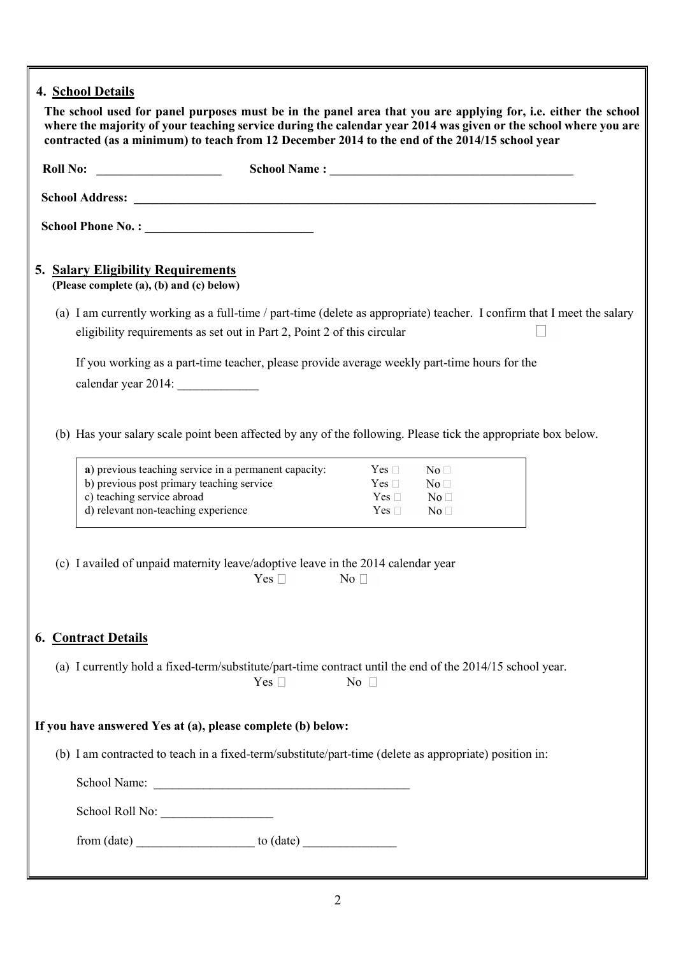|  | 4. School Details<br>The school used for panel purposes must be in the panel area that you are applying for, i.e. either the school<br>where the majority of your teaching service during the calendar year 2014 was given or the school where you are<br>contracted (as a minimum) to teach from 12 December 2014 to the end of the 2014/15 school year |
|--|----------------------------------------------------------------------------------------------------------------------------------------------------------------------------------------------------------------------------------------------------------------------------------------------------------------------------------------------------------|
|  |                                                                                                                                                                                                                                                                                                                                                          |
|  |                                                                                                                                                                                                                                                                                                                                                          |
|  |                                                                                                                                                                                                                                                                                                                                                          |
|  | 5. Salary Eligibility Requirements<br>(Please complete (a), (b) and (c) below)                                                                                                                                                                                                                                                                           |
|  | (a) I am currently working as a full-time / part-time (delete as appropriate) teacher. I confirm that I meet the salary<br>eligibility requirements as set out in Part 2, Point 2 of this circular                                                                                                                                                       |
|  | If you working as a part-time teacher, please provide average weekly part-time hours for the<br>calendar year 2014:                                                                                                                                                                                                                                      |
|  | (b) Has your salary scale point been affected by any of the following. Please tick the appropriate box below.                                                                                                                                                                                                                                            |
|  | a) previous teaching service in a permanent capacity:<br>$Yes \Box$<br>No <sub>1</sub><br>b) previous post primary teaching service<br>Yes $\square$<br>No <sub>1</sub><br>c) teaching service abroad<br>Yes $\square$<br>No <sub>1</sub><br>d) relevant non-teaching experience<br>$Yes \Box$<br>No <sub>1</sub>                                        |
|  | (c) I availed of unpaid maternity leave/adoptive leave in the 2014 calendar year<br>$\mathrm{Yes} \square$ No $\square$                                                                                                                                                                                                                                  |
|  | <b>6. Contract Details</b>                                                                                                                                                                                                                                                                                                                               |
|  | (a) I currently hold a fixed-term/substitute/part-time contract until the end of the 2014/15 school year.<br>Yes $\square$<br>No $\square$                                                                                                                                                                                                               |
|  | If you have answered Yes at (a), please complete (b) below:                                                                                                                                                                                                                                                                                              |
|  | (b) I am contracted to teach in a fixed-term/substitute/part-time (delete as appropriate) position in:                                                                                                                                                                                                                                                   |
|  |                                                                                                                                                                                                                                                                                                                                                          |
|  | School Roll No:                                                                                                                                                                                                                                                                                                                                          |
|  | $from (date)$ to $(data)$                                                                                                                                                                                                                                                                                                                                |
|  |                                                                                                                                                                                                                                                                                                                                                          |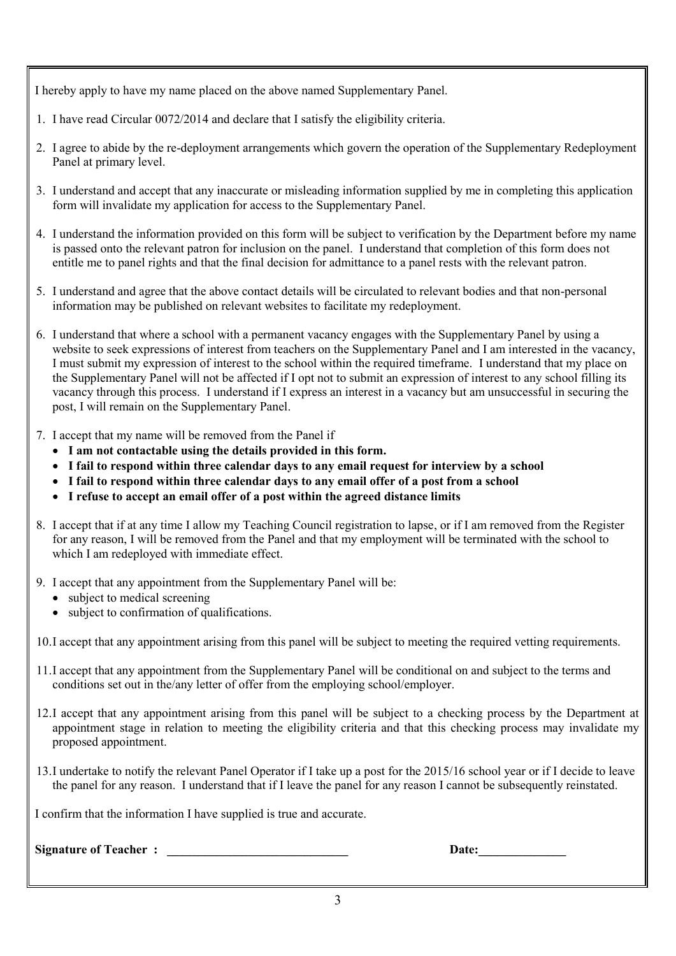I hereby apply to have my name placed on the above named Supplementary Panel.

- 1. I have read Circular 0072/2014 and declare that I satisfy the eligibility criteria.
- 2. I agree to abide by the re-deployment arrangements which govern the operation of the Supplementary Redeployment Panel at primary level.
- 3. I understand and accept that any inaccurate or misleading information supplied by me in completing this application form will invalidate my application for access to the Supplementary Panel.
- 4. I understand the information provided on this form will be subject to verification by the Department before my name is passed onto the relevant patron for inclusion on the panel. I understand that completion of this form does not entitle me to panel rights and that the final decision for admittance to a panel rests with the relevant patron.
- 5. I understand and agree that the above contact details will be circulated to relevant bodies and that non-personal information may be published on relevant websites to facilitate my redeployment.
- 6. I understand that where a school with a permanent vacancy engages with the Supplementary Panel by using a website to seek expressions of interest from teachers on the Supplementary Panel and I am interested in the vacancy, I must submit my expression of interest to the school within the required timeframe. I understand that my place on the Supplementary Panel will not be affected if I opt not to submit an expression of interest to any school filling its vacancy through this process. I understand if I express an interest in a vacancy but am unsuccessful in securing the post, I will remain on the Supplementary Panel.
- 7. I accept that my name will be removed from the Panel if
	- **I am not contactable using the details provided in this form.**
	- **I fail to respond within three calendar days to any email request for interview by a school**
	- **I fail to respond within three calendar days to any email offer of a post from a school**
	- **I refuse to accept an email offer of a post within the agreed distance limits**
- 8. I accept that if at any time I allow my Teaching Council registration to lapse, or if I am removed from the Register for any reason, I will be removed from the Panel and that my employment will be terminated with the school to which I am redeployed with immediate effect.
- 9. I accept that any appointment from the Supplementary Panel will be:
	- subject to medical screening
	- subject to confirmation of qualifications.

10.I accept that any appointment arising from this panel will be subject to meeting the required vetting requirements.

- 11.I accept that any appointment from the Supplementary Panel will be conditional on and subject to the terms and conditions set out in the/any letter of offer from the employing school/employer.
- 12.I accept that any appointment arising from this panel will be subject to a checking process by the Department at appointment stage in relation to meeting the eligibility criteria and that this checking process may invalidate my proposed appointment.
- 13.I undertake to notify the relevant Panel Operator if I take up a post for the 2015/16 school year or if I decide to leave the panel for any reason. I understand that if I leave the panel for any reason I cannot be subsequently reinstated.

I confirm that the information I have supplied is true and accurate.

**Signature of Teacher : Date:**